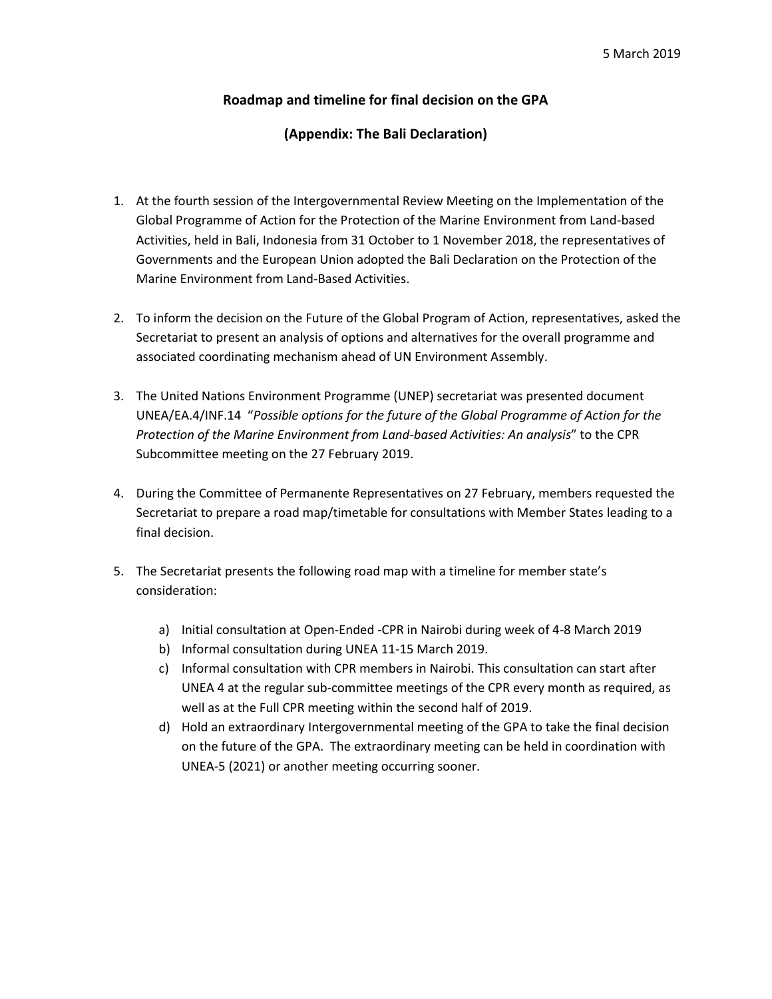## **Roadmap and timeline for final decision on the GPA**

## **(Appendix: The Bali Declaration)**

- 1. At the fourth session of the Intergovernmental Review Meeting on the Implementation of the Global Programme of Action for the Protection of the Marine Environment from Land-based Activities, held in Bali, Indonesia from 31 October to 1 November 2018, the representatives of Governments and the European Union adopted the Bali Declaration on the Protection of the Marine Environment from Land-Based Activities.
- 2. To inform the decision on the Future of the Global Program of Action, representatives, asked the Secretariat to present an analysis of options and alternatives for the overall programme and associated coordinating mechanism ahead of UN Environment Assembly.
- 3. The United Nations Environment Programme (UNEP) secretariat was presented document UNEA/EA.4/INF.14 "*Possible options for the future of the Global Programme of Action for the Protection of the Marine Environment from Land-based Activities: An analysis*" to the CPR Subcommittee meeting on the 27 February 2019.
- 4. During the Committee of Permanente Representatives on 27 February, members requested the Secretariat to prepare a road map/timetable for consultations with Member States leading to a final decision.
- 5. The Secretariat presents the following road map with a timeline for member state's consideration:
	- a) Initial consultation at Open-Ended -CPR in Nairobi during week of 4-8 March 2019
	- b) Informal consultation during UNEA 11-15 March 2019.
	- c) Informal consultation with CPR members in Nairobi. This consultation can start after UNEA 4 at the regular sub-committee meetings of the CPR every month as required, as well as at the Full CPR meeting within the second half of 2019.
	- d) Hold an extraordinary Intergovernmental meeting of the GPA to take the final decision on the future of the GPA. The extraordinary meeting can be held in coordination with UNEA-5 (2021) or another meeting occurring sooner.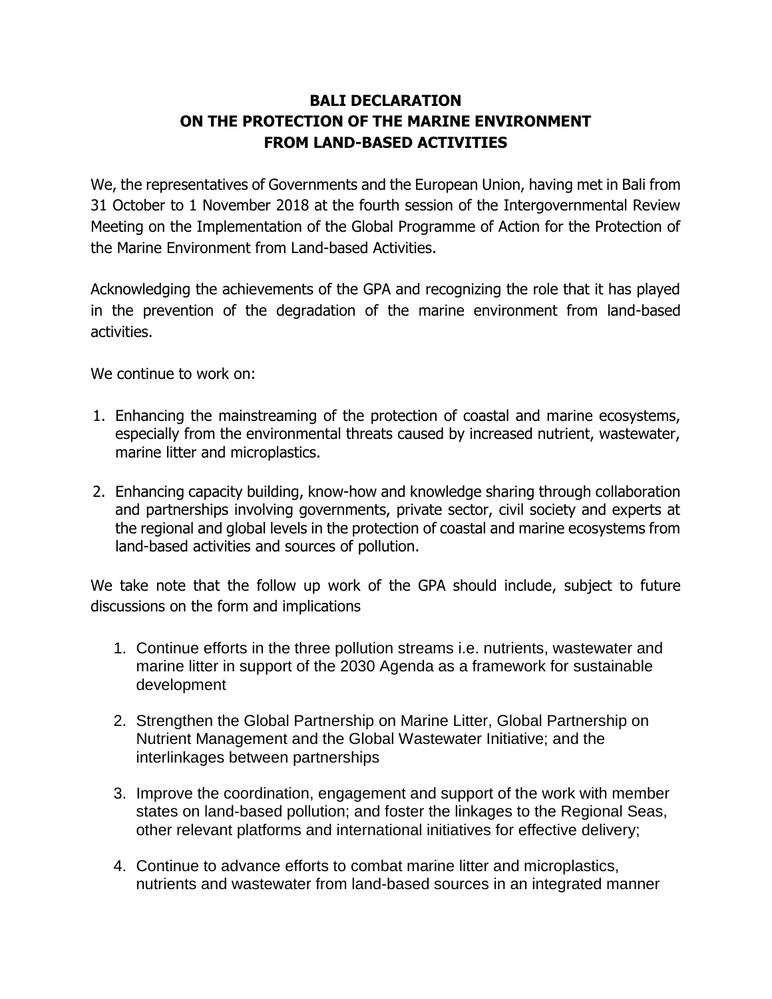## **BALI DECLARATION ON THE PROTECTION OF THE MARINE ENVIRONMENT FROM LAND-BASED ACTIVITIES**

We, the representatives of Governments and the European Union, having met in Bali from 31 October to 1 November 2018 at the fourth session of the Intergovernmental Review Meeting on the Implementation of the Global Programme of Action for the Protection of the Marine Environment from Land-based Activities.

Acknowledging the achievements of the GPA and recognizing the role that it has played in the prevention of the degradation of the marine environment from land-based activities.

We continue to work on:

- 1. Enhancing the mainstreaming of the protection of coastal and marine ecosystems, especially from the environmental threats caused by increased nutrient, wastewater, marine litter and microplastics.
- 2. Enhancing capacity building, know-how and knowledge sharing through collaboration and partnerships involving governments, private sector, civil society and experts at the regional and global levels in the protection of coastal and marine ecosystems from land-based activities and sources of pollution.

We take note that the follow up work of the GPA should include, subject to future discussions on the form and implications

- 1. Continue efforts in the three pollution streams i.e. nutrients, wastewater and marine litter in support of the 2030 Agenda as a framework for sustainable development
- 2. Strengthen the Global Partnership on Marine Litter, Global Partnership on Nutrient Management and the Global Wastewater Initiative; and the interlinkages between partnerships
- 3. Improve the coordination, engagement and support of the work with member states on land-based pollution; and foster the linkages to the Regional Seas, other relevant platforms and international initiatives for effective delivery;
- 4. Continue to advance efforts to combat marine litter and microplastics, nutrients and wastewater from land-based sources in an integrated manner